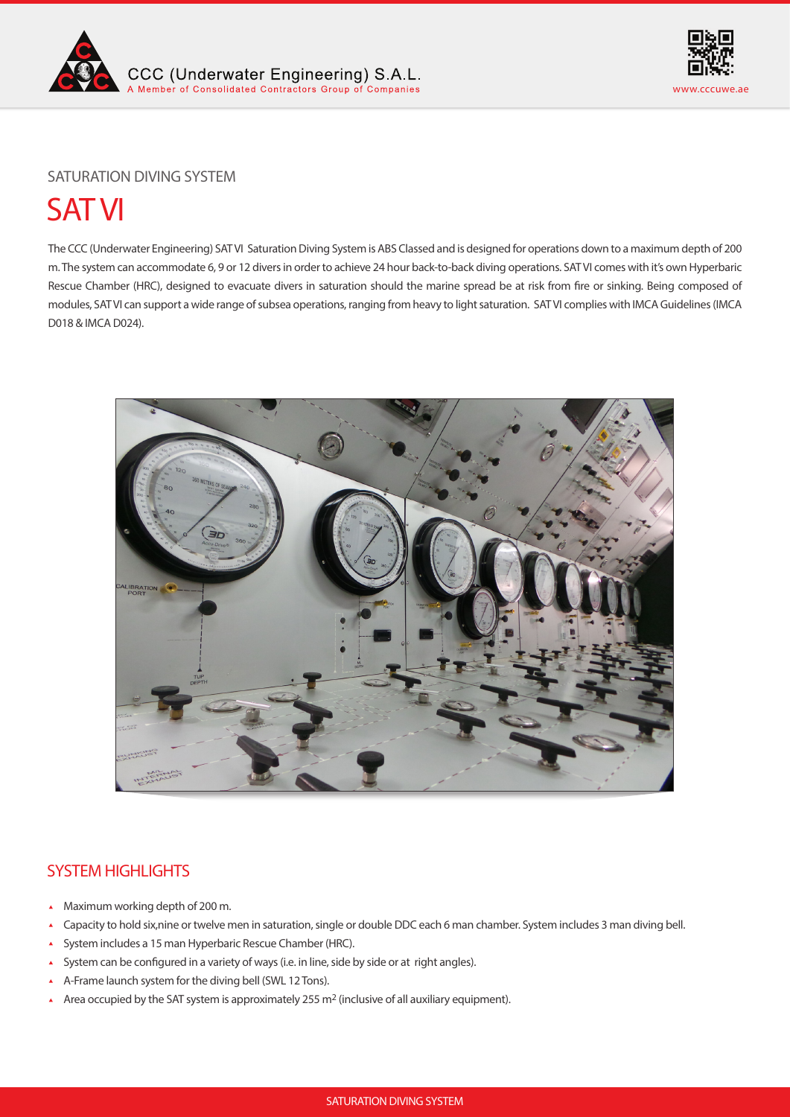



# SATURATION DIVING SYSTEM

# SAT VI

The CCC (Underwater Engineering) SAT VI Saturation Diving System is ABS Classed and is designed for operations down to a maximum depth of 200 m. The system can accommodate 6, 9 or 12 divers in order to achieve 24 hour back-to-back diving operations. SAT VI comes with it's own Hyperbaric Rescue Chamber (HRC), designed to evacuate divers in saturation should the marine spread be at risk from fire or sinking. Being composed of modules, SAT VI can support a wide range of subsea operations, ranging from heavy to light saturation. SAT VI complies with IMCA Guidelines (IMCA D018 & IMCA D024).



# SYSTEM HIGHLIGHTS

- Maximum working depth of 200 m.
- Capacity to hold six,nine or twelve men in saturation, single or double DDC each 6 man chamber. System includes 3 man diving bell.  $\blacktriangle$
- System includes a 15 man Hyperbaric Rescue Chamber (HRC).  $\blacktriangle$
- System can be configured in a variety of ways (i.e. in line, side by side or at right angles).  $\mathbf{A}$
- A-Frame launch system for the diving bell (SWL 12 Tons).  $\mathbf{A}$
- Area occupied by the SAT system is approximately 255 m<sup>2</sup> (inclusive of all auxiliary equipment).